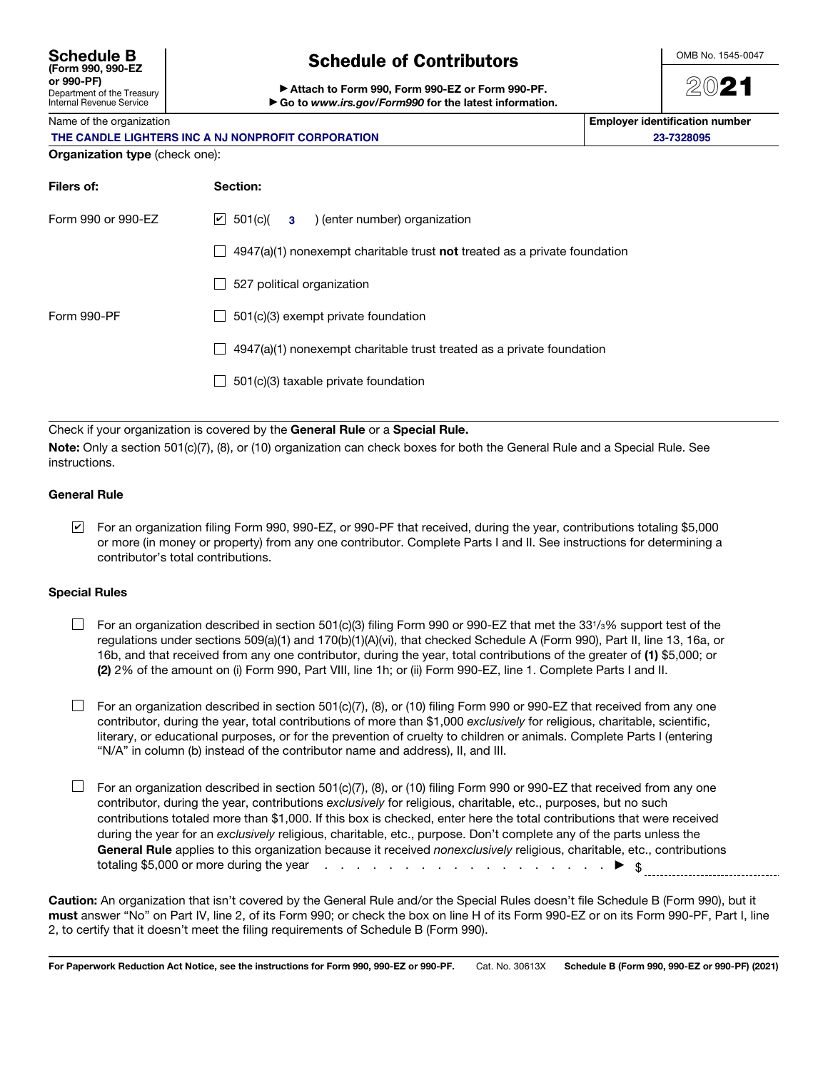| Schedule B<br>(Form 990, 990-EZ                               |
|---------------------------------------------------------------|
| or 990-PF)                                                    |
| Department of the Treasury<br><b>Internal Revenue Service</b> |

# Schedule of Contributors

Attach to Form 990, Form 990-EZ or Form 990-PF. ▶ Go to *www.irs.gov/Form990* for the latest information. OMB No. 1545-0047

2021

Name of the organization **Employer identification number**  $\blacksquare$ 

**23-7328095**

## Organization type (check one):

| $4947(a)(1)$ nonexempt charitable trust <b>not</b> treated as a private foundation |  |  |  |  |
|------------------------------------------------------------------------------------|--|--|--|--|
| 527 political organization                                                         |  |  |  |  |
|                                                                                    |  |  |  |  |
|                                                                                    |  |  |  |  |
|                                                                                    |  |  |  |  |
|                                                                                    |  |  |  |  |

Check if your organization is covered by the General Rule or a Special Rule.

Note: Only a section 501(c)(7), (8), or (10) organization can check boxes for both the General Rule and a Special Rule. See instructions.

#### General Rule

For an organization filing Form 990, 990-EZ, or 990-PF that received, during the year, contributions totaling \$5,000 ✔or more (in money or property) from any one contributor. Complete Parts I and II. See instructions for determining a contributor's total contributions.

### Special Rules

- $\Box$  For an organization described in section 501(c)(3) filing Form 990 or 990-EZ that met the 331/3% support test of the regulations under sections 509(a)(1) and 170(b)(1)(A)(vi), that checked Schedule A (Form 990), Part II, line 13, 16a, or 16b, and that received from any one contributor, during the year, total contributions of the greater of (1) \$5,000; or (2) 2% of the amount on (i) Form 990, Part VIII, line 1h; or (ii) Form 990-EZ, line 1. Complete Parts I and II.
- $\Box$  For an organization described in section 501(c)(7), (8), or (10) filing Form 990 or 990-EZ that received from any one contributor, during the year, total contributions of more than \$1,000 *exclusively* for religious, charitable, scientific, literary, or educational purposes, or for the prevention of cruelty to children or animals. Complete Parts I (entering "N/A" in column (b) instead of the contributor name and address), II, and III.
- $\Box$  For an organization described in section 501(c)(7), (8), or (10) filing Form 990 or 990-EZ that received from any one contributor, during the year, contributions *exclusively* for religious, charitable, etc., purposes, but no such contributions totaled more than \$1,000. If this box is checked, enter here the total contributions that were received during the year for an *exclusively* religious, charitable, etc., purpose. Don't complete any of the parts unless the General Rule applies to this organization because it received *nonexclusively* religious, charitable, etc., contributions totaling \$5,000 or more during the year  $\cdots$  . . . . . . . . . . . . . . . . .  $\blacktriangleright$   $\uparrow$

Caution: An organization that isn't covered by the General Rule and/or the Special Rules doesn't file Schedule B (Form 990), but it must answer "No" on Part IV, line 2, of its Form 990; or check the box on line H of its Form 990-EZ or on its Form 990-PF, Part I, line 2, to certify that it doesn't meet the filing requirements of Schedule B (Form 990).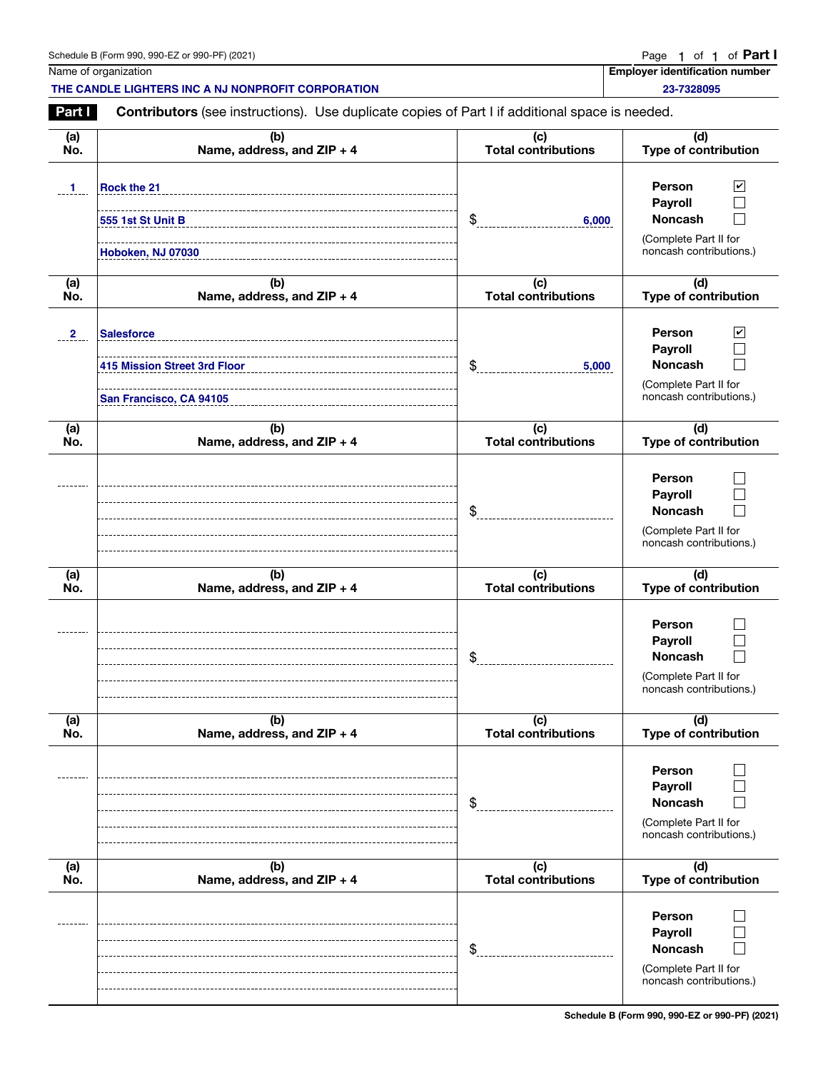| J. 990-EZ or 990-PF) (2021)<br>Schedule B (Form 990, | Page | οt | Οt | Part |  |
|------------------------------------------------------|------|----|----|------|--|
|                                                      |      |    |    |      |  |

Name of organization **Employer identification number**  $\blacksquare$ **23-7328095**

**THE CANDLE LIGHTERS INC A NJ NONPROFIT CORPORATION**

Part Contributors (see instructions). Use duplicate copies of Part I if additional space is needed.

| (a)            | (b)                                                                          | (c)                        | (d)                                                                                                                       |
|----------------|------------------------------------------------------------------------------|----------------------------|---------------------------------------------------------------------------------------------------------------------------|
| No.            | Name, address, and ZIP + 4                                                   | Total contributions        | Type of contribution                                                                                                      |
| $\mathbf{1}$   | Rock the 21<br>555 1st St Unit B<br>Hoboken, NJ 07030                        | \$<br>6,000                | <b>Person</b><br>$\overline{\mathbf{r}}$<br>Payroll<br><b>Noncash</b><br>(Complete Part II for<br>noncash contributions.) |
| (a)            | (b)                                                                          | (c)                        | (d)                                                                                                                       |
| No.            | Name, address, and ZIP + 4                                                   | Total contributions        | Type of contribution                                                                                                      |
| $\overline{2}$ | <b>Salesforce</b><br>415 Mission Street 3rd Floor<br>San Francisco, CA 94105 | \$<br>5,000                | Person<br>$\overline{\mathbf{v}}$<br>Payroll<br><b>Noncash</b><br>(Complete Part II for<br>noncash contributions.)        |
| (a)            | (b)                                                                          | (c)                        | (d)                                                                                                                       |
| No.            | Name, address, and ZIP + 4                                                   | Total contributions        | Type of contribution                                                                                                      |
|                |                                                                              | \$                         | Person<br>Payroll<br><b>Noncash</b><br>(Complete Part II for<br>noncash contributions.)                                   |
| (a)            | (b)                                                                          | (c)                        | (d)                                                                                                                       |
| No.            | Name, address, and ZIP + 4                                                   | <b>Total contributions</b> | Type of contribution                                                                                                      |
|                |                                                                              | \$                         | Person<br>Payroll<br><b>Noncash</b><br>(Complete Part II for<br>noncash contributions.)                                   |
| (a)            | (b)                                                                          | (c)                        | (d)                                                                                                                       |
| No.            | Name, address, and ZIP + 4                                                   | <b>Total contributions</b> | Type of contribution                                                                                                      |
|                |                                                                              | \$                         | Person<br>Payroll<br><b>Noncash</b><br>(Complete Part II for<br>noncash contributions.)                                   |
| (a)            | (b)                                                                          | (c)                        | (d)                                                                                                                       |
| No.            | Name, address, and ZIP + 4                                                   | <b>Total contributions</b> | <b>Type of contribution</b>                                                                                               |
|                |                                                                              | \$                         | Person<br>Payroll<br><b>Noncash</b><br>(Complete Part II for<br>noncash contributions.)                                   |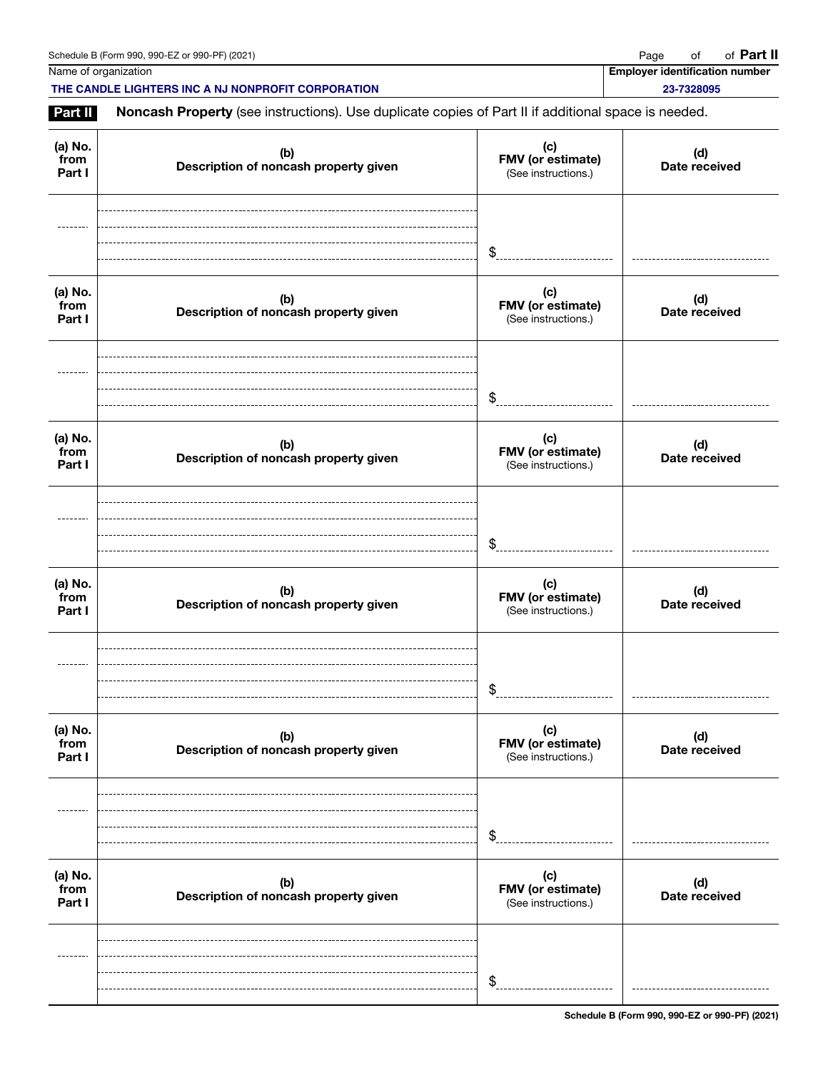| Schedule B (Form 990, 990-EZ or 990-PF) (2021) | Page | of | of <b>Part II</b> |
|------------------------------------------------|------|----|-------------------|
|------------------------------------------------|------|----|-------------------|

Name of organization **Employer identification number** Name of organization **number** 

**THE CANDLE LIGHTERS INC A NJ NONPROFIT CORPORATION 23-7328095**

Part II Noncash Property (see instructions). Use duplicate copies of Part II if additional space is needed.

| (a) No.<br>from<br>Part I | (b)<br>Description of noncash property given | (c)<br>FMV (or estimate)<br>(See instructions.) | (d)<br>Date received |
|---------------------------|----------------------------------------------|-------------------------------------------------|----------------------|
|                           |                                              | \$                                              |                      |
| (a) No.<br>from<br>Part I | (b)<br>Description of noncash property given | (c)<br>FMV (or estimate)<br>(See instructions.) | (d)<br>Date received |
|                           |                                              | \$                                              |                      |
| (a) No.<br>from<br>Part I | (b)<br>Description of noncash property given | (c)<br>FMV (or estimate)<br>(See instructions.) | (d)<br>Date received |
|                           |                                              | \$                                              |                      |
| (a) No.<br>from<br>Part I | (b)<br>Description of noncash property given | (c)<br>FMV (or estimate)<br>(See instructions.) | (d)<br>Date received |
|                           |                                              | \$                                              |                      |
| (a) No.<br>from<br>Part I | (b)<br>Description of noncash property given | (c)<br>FMV (or estimate)<br>(See instructions.) | (d)<br>Date received |
|                           |                                              | $\frac{1}{2}$                                   |                      |
| (a) No.<br>from<br>Part I | (b)<br>Description of noncash property given | (c)<br>FMV (or estimate)<br>(See instructions.) | (d)<br>Date received |
|                           |                                              | \$                                              |                      |

Schedule B (Form 990, 990-EZ or 990-PF) (2021)